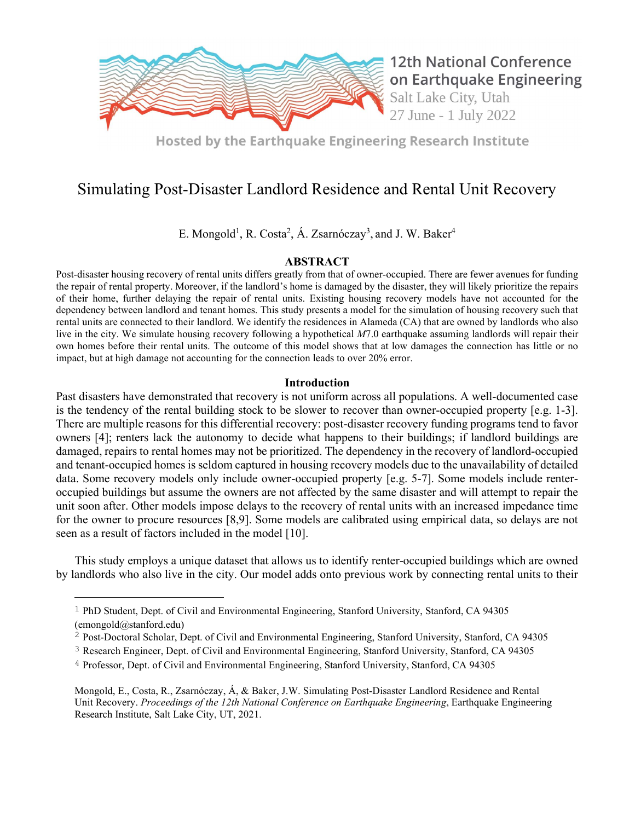

**12th National Conference** on Earthquake Engineering Salt Lake City, Utah 27 June - 1 July 2022

**Hosted by the Earthquake Engineering Research Institute** 

# Simulating Post-Disaster Landlord Residence and Rental Unit Recovery

E. Mongold<sup>1</sup>, R. Costa<sup>2</sup>, Á. Zsarnóczay<sup>3</sup>, and J. W. Baker<sup>4</sup>

## ABSTRACT

Post-disaster housing recovery of rental units differs greatly from that of owner-occupied. There are fewer avenues for funding the repair of rental property. Moreover, if the landlord's home is damaged by the disaster, they will likely prioritize the repairs of their home, further delaying the repair of rental units. Existing housing recovery models have not accounted for the dependency between landlord and tenant homes. This study presents a model for the simulation of housing recovery such that rental units are connected to their landlord. We identify the residences in Alameda (CA) that are owned by landlords who also live in the city. We simulate housing recovery following a hypothetical M7.0 earthquake assuming landlords will repair their own homes before their rental units. The outcome of this model shows that at low damages the connection has little or no impact, but at high damage not accounting for the connection leads to over 20% error.

## Introduction

Past disasters have demonstrated that recovery is not uniform across all populations. A well-documented case is the tendency of the rental building stock to be slower to recover than owner-occupied property [e.g. 1-3]. There are multiple reasons for this differential recovery: post-disaster recovery funding programs tend to favor owners [4]; renters lack the autonomy to decide what happens to their buildings; if landlord buildings are damaged, repairs to rental homes may not be prioritized. The dependency in the recovery of landlord-occupied and tenant-occupied homes is seldom captured in housing recovery models due to the unavailability of detailed data. Some recovery models only include owner-occupied property [e.g. 5-7]. Some models include renteroccupied buildings but assume the owners are not affected by the same disaster and will attempt to repair the unit soon after. Other models impose delays to the recovery of rental units with an increased impedance time for the owner to procure resources [8,9]. Some models are calibrated using empirical data, so delays are not seen as a result of factors included in the model [10].

 This study employs a unique dataset that allows us to identify renter-occupied buildings which are owned by landlords who also live in the city. Our model adds onto previous work by connecting rental units to their

<sup>&</sup>lt;sup>1</sup> PhD Student, Dept. of Civil and Environmental Engineering, Stanford University, Stanford, CA 94305 (emongold@stanford.edu)

<sup>&</sup>lt;sup>2</sup> Post-Doctoral Scholar, Dept. of Civil and Environmental Engineering, Stanford University, Stanford, CA 94305

<sup>3</sup> Research Engineer, Dept. of Civil and Environmental Engineering, Stanford University, Stanford, CA 94305

<sup>4</sup> Professor, Dept. of Civil and Environmental Engineering, Stanford University, Stanford, CA 94305

Mongold, E., Costa, R., Zsarnóczay, Á, & Baker, J.W. Simulating Post-Disaster Landlord Residence and Rental Unit Recovery. Proceedings of the 12th National Conference on Earthquake Engineering, Earthquake Engineering Research Institute, Salt Lake City, UT, 2021.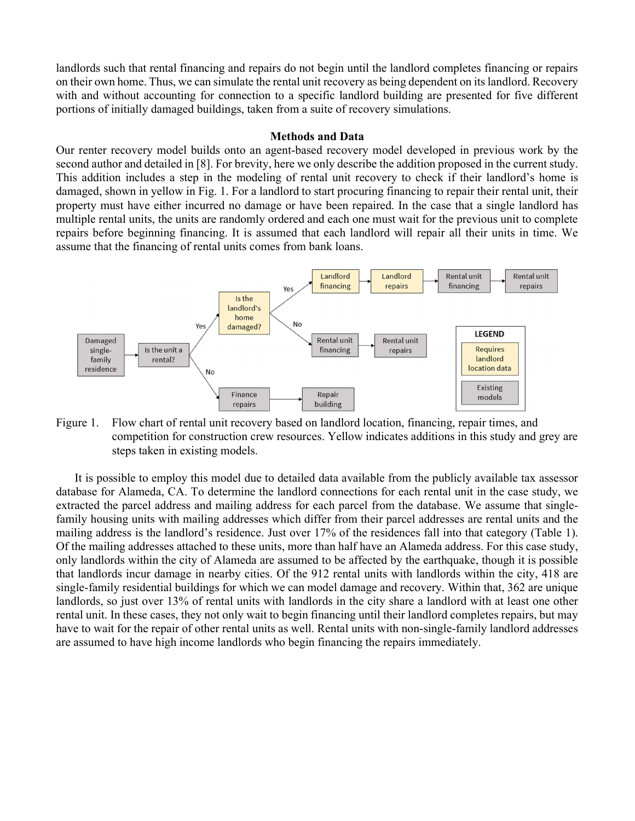landlords such that rental financing and repairs do not begin until the landlord completes financing or repairs on their own home. Thus, we can simulate the rental unit recovery as being dependent on its landlord. Recovery with and without accounting for connection to a specific landlord building are presented for five different portions of initially damaged buildings, taken from a suite of recovery simulations.

### Methods and Data

Our renter recovery model builds onto an agent-based recovery model developed in previous work by the second author and detailed in [8]. For brevity, here we only describe the addition proposed in the current study. This addition includes a step in the modeling of rental unit recovery to check if their landlord's home is damaged, shown in yellow in Fig. 1. For a landlord to start procuring financing to repair their rental unit, their property must have either incurred no damage or have been repaired. In the case that a single landlord has multiple rental units, the units are randomly ordered and each one must wait for the previous unit to complete repairs before beginning financing. It is assumed that each landlord will repair all their units in time. We assume that the financing of rental units comes from bank loans.



Figure 1. Flow chart of rental unit recovery based on landlord location, financing, repair times, and competition for construction crew resources. Yellow indicates additions in this study and grey are steps taken in existing models.

 It is possible to employ this model due to detailed data available from the publicly available tax assessor database for Alameda, CA. To determine the landlord connections for each rental unit in the case study, we extracted the parcel address and mailing address for each parcel from the database. We assume that singlefamily housing units with mailing addresses which differ from their parcel addresses are rental units and the mailing address is the landlord's residence. Just over 17% of the residences fall into that category (Table 1). Of the mailing addresses attached to these units, more than half have an Alameda address. For this case study, only landlords within the city of Alameda are assumed to be affected by the earthquake, though it is possible that landlords incur damage in nearby cities. Of the 912 rental units with landlords within the city, 418 are single-family residential buildings for which we can model damage and recovery. Within that, 362 are unique landlords, so just over 13% of rental units with landlords in the city share a landlord with at least one other rental unit. In these cases, they not only wait to begin financing until their landlord completes repairs, but may have to wait for the repair of other rental units as well. Rental units with non-single-family landlord addresses are assumed to have high income landlords who begin financing the repairs immediately.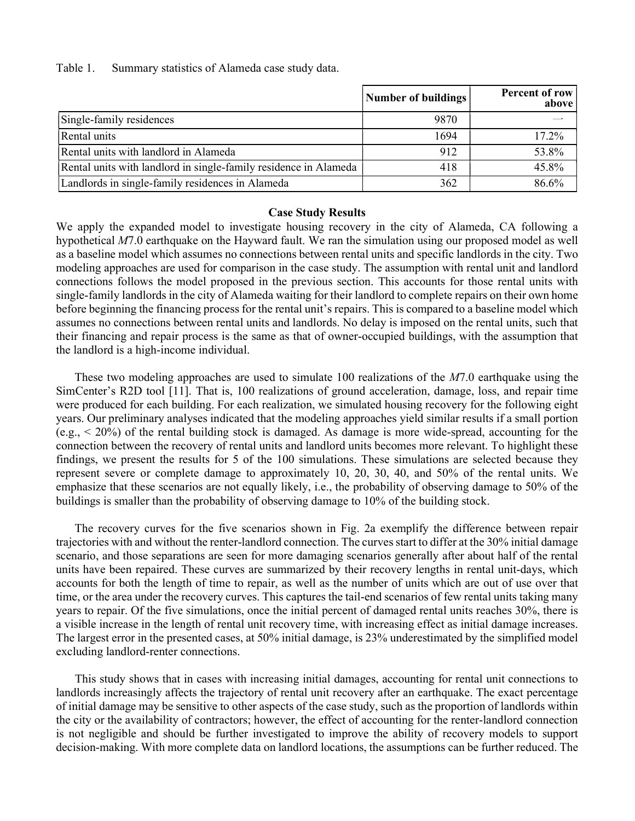Table 1. Summary statistics of Alameda case study data.

|                                                                  | Number of buildings | Percent of row<br>above |
|------------------------------------------------------------------|---------------------|-------------------------|
| Single-family residences                                         | 9870                |                         |
| Rental units                                                     | 1694                | 17.2%                   |
| Rental units with landlord in Alameda                            | 912                 | 53.8%                   |
| Rental units with landlord in single-family residence in Alameda | 418                 | 45.8%                   |
| Landlords in single-family residences in Alameda                 | 362                 | 86.6%                   |

#### Case Study Results

We apply the expanded model to investigate housing recovery in the city of Alameda, CA following a hypothetical M7.0 earthquake on the Hayward fault. We ran the simulation using our proposed model as well as a baseline model which assumes no connections between rental units and specific landlords in the city. Two modeling approaches are used for comparison in the case study. The assumption with rental unit and landlord connections follows the model proposed in the previous section. This accounts for those rental units with single-family landlords in the city of Alameda waiting for their landlord to complete repairs on their own home before beginning the financing process for the rental unit's repairs. This is compared to a baseline model which assumes no connections between rental units and landlords. No delay is imposed on the rental units, such that their financing and repair process is the same as that of owner-occupied buildings, with the assumption that the landlord is a high-income individual.

These two modeling approaches are used to simulate 100 realizations of the  $M/1.0$  earthquake using the SimCenter's R2D tool [11]. That is, 100 realizations of ground acceleration, damage, loss, and repair time were produced for each building. For each realization, we simulated housing recovery for the following eight years. Our preliminary analyses indicated that the modeling approaches yield similar results if a small portion (e.g., < 20%) of the rental building stock is damaged. As damage is more wide-spread, accounting for the connection between the recovery of rental units and landlord units becomes more relevant. To highlight these findings, we present the results for 5 of the 100 simulations. These simulations are selected because they represent severe or complete damage to approximately 10, 20, 30, 40, and 50% of the rental units. We emphasize that these scenarios are not equally likely, i.e., the probability of observing damage to 50% of the buildings is smaller than the probability of observing damage to 10% of the building stock.

The recovery curves for the five scenarios shown in Fig. 2a exemplify the difference between repair trajectories with and without the renter-landlord connection. The curves start to differ at the 30% initial damage scenario, and those separations are seen for more damaging scenarios generally after about half of the rental units have been repaired. These curves are summarized by their recovery lengths in rental unit-days, which accounts for both the length of time to repair, as well as the number of units which are out of use over that time, or the area under the recovery curves. This captures the tail-end scenarios of few rental units taking many years to repair. Of the five simulations, once the initial percent of damaged rental units reaches 30%, there is a visible increase in the length of rental unit recovery time, with increasing effect as initial damage increases. The largest error in the presented cases, at 50% initial damage, is 23% underestimated by the simplified model excluding landlord-renter connections.

 This study shows that in cases with increasing initial damages, accounting for rental unit connections to landlords increasingly affects the trajectory of rental unit recovery after an earthquake. The exact percentage of initial damage may be sensitive to other aspects of the case study, such as the proportion of landlords within the city or the availability of contractors; however, the effect of accounting for the renter-landlord connection is not negligible and should be further investigated to improve the ability of recovery models to support decision-making. With more complete data on landlord locations, the assumptions can be further reduced. The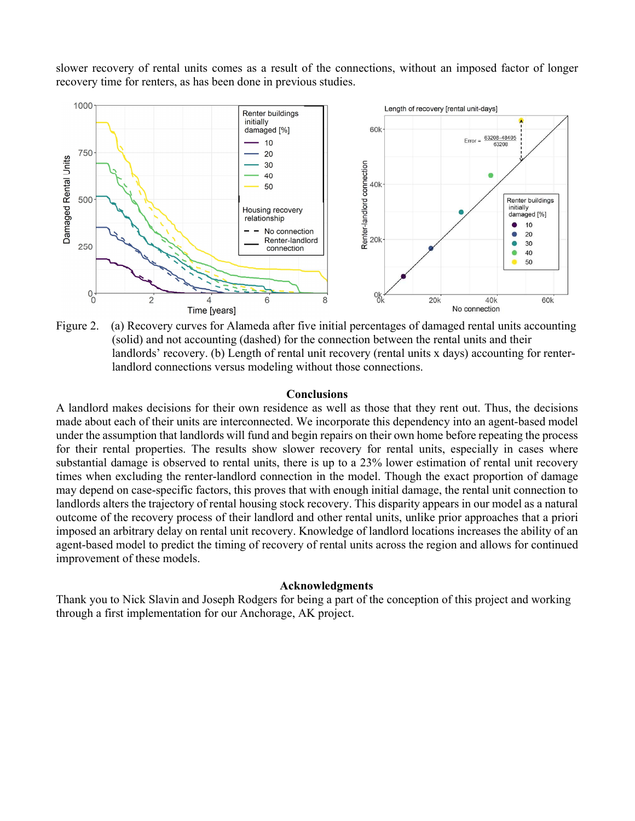slower recovery of rental units comes as a result of the connections, without an imposed factor of longer recovery time for renters, as has been done in previous studies.



Figure 2. (a) Recovery curves for Alameda after five initial percentages of damaged rental units accounting (solid) and not accounting (dashed) for the connection between the rental units and their landlords' recovery. (b) Length of rental unit recovery (rental units x days) accounting for renterlandlord connections versus modeling without those connections.

#### Conclusions

A landlord makes decisions for their own residence as well as those that they rent out. Thus, the decisions made about each of their units are interconnected. We incorporate this dependency into an agent-based model under the assumption that landlords will fund and begin repairs on their own home before repeating the process for their rental properties. The results show slower recovery for rental units, especially in cases where substantial damage is observed to rental units, there is up to a 23% lower estimation of rental unit recovery times when excluding the renter-landlord connection in the model. Though the exact proportion of damage may depend on case-specific factors, this proves that with enough initial damage, the rental unit connection to landlords alters the trajectory of rental housing stock recovery. This disparity appears in our model as a natural outcome of the recovery process of their landlord and other rental units, unlike prior approaches that a priori imposed an arbitrary delay on rental unit recovery. Knowledge of landlord locations increases the ability of an agent-based model to predict the timing of recovery of rental units across the region and allows for continued improvement of these models.

#### Acknowledgments

Thank you to Nick Slavin and Joseph Rodgers for being a part of the conception of this project and working through a first implementation for our Anchorage, AK project.